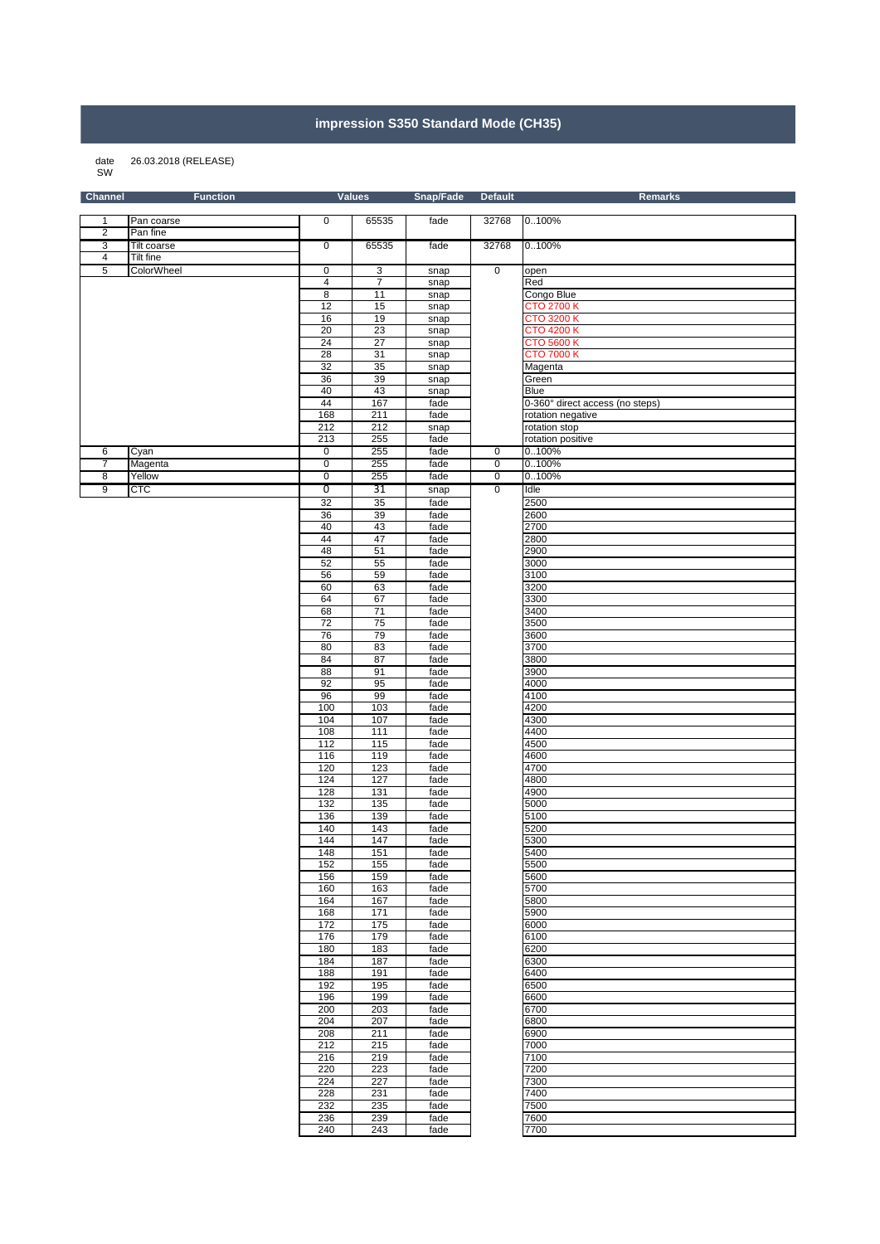## **impression S350 Standard Mode (CH35)**

## 26.03.2018 (RELEASE) date<br>SW

| <b>Channel</b>               | <b>Function</b>         |                         | <b>Values</b>  | Snap/Fade    | <b>Default</b> | <b>Remarks</b>                         |
|------------------------------|-------------------------|-------------------------|----------------|--------------|----------------|----------------------------------------|
|                              |                         |                         |                |              |                |                                        |
| 1                            | Pan coarse              | 0                       | 65535          | fade         | 32768          | 0100%                                  |
| $\overline{\mathbf{c}}$<br>3 | Pan fine<br>Tilt coarse | 0                       | 65535          |              | 32768          | 0100%                                  |
| 4                            | Tilt fine               |                         |                | fade         |                |                                        |
| 5                            | ColorWheel              | 0                       | 3              | snap         | $\overline{0}$ | open                                   |
|                              |                         | $\overline{\mathbf{4}}$ | $\overline{7}$ | snap         |                | Red                                    |
|                              |                         | 8                       | 11             | snap         |                | Congo Blue                             |
|                              |                         | 12                      | 15             | snap         |                | <b>CTO 2700 K</b>                      |
|                              |                         | 16                      | 19             | snap         |                | <b>CTO 3200 K</b>                      |
|                              |                         | 20                      | 23             | snap         |                | <b>CTO 4200 K</b>                      |
|                              |                         | 24<br>28                | 27<br>31       | snap         |                | <b>CTO 5600 K</b><br><b>CTO 7000 K</b> |
|                              |                         | 32                      | 35             | snap<br>snap |                | Magenta                                |
|                              |                         | 36                      | 39             | snap         |                | Green                                  |
|                              |                         | 40                      | 43             | snap         |                | Blue                                   |
|                              |                         | 44                      | 167            | fade         |                | 0-360° direct access (no steps)        |
|                              |                         | 168                     | 211            | fade         |                | rotation negative                      |
|                              |                         | 212<br>213              | 212<br>255     | snap<br>fade |                | rotation stop<br>rotation positive     |
| 6                            | Cyan                    | 0                       | 255            | fade         | 0              | 0.100%                                 |
| $\overline{7}$               | Magenta                 | $\overline{0}$          | 255            | fade         | $\overline{0}$ | 0100%                                  |
| 8                            | Yellow                  | 0                       | 255            | fade         | $\overline{0}$ | 0100%                                  |
| 9                            | <b>CTC</b>              | $\overline{0}$          | 31             | snap         | $\mathbf 0$    | Idle                                   |
|                              |                         | 32                      | 35             | fade         |                | 2500                                   |
|                              |                         | 36                      | 39             | fade         |                | 2600                                   |
|                              |                         | 40                      | 43             | fade         |                | 2700                                   |
|                              |                         | 44                      | 47             | fade         |                | 2800                                   |
|                              |                         | 48                      | 51             | fade         |                | 2900                                   |
|                              |                         | 52<br>56                | 55<br>59       | fade<br>fade |                | 3000<br>3100                           |
|                              |                         | 60                      | 63             | fade         |                | 3200                                   |
|                              |                         | 64                      | 67             | fade         |                | 3300                                   |
|                              |                         | 68                      | 71             | fade         |                | 3400                                   |
|                              |                         | 72                      | 75             | fade         |                | 3500                                   |
|                              |                         | 76                      | 79             | fade         |                | 3600                                   |
|                              |                         | 80                      | 83             | fade         |                | 3700                                   |
|                              |                         | 84<br>88                | 87<br>91       | fade<br>fade |                | 3800<br>3900                           |
|                              |                         | 92                      | 95             | fade         |                | 4000                                   |
|                              |                         | 96                      | 99             | fade         |                | 4100                                   |
|                              |                         | 100                     | 103            | fade         |                | 4200                                   |
|                              |                         | 104                     | 107            | fade         |                | 4300                                   |
|                              |                         | 108                     | 111            | fade         |                | 4400                                   |
|                              |                         | 112                     | 115            | fade         |                | 4500                                   |
|                              |                         | 116<br>120              | 119<br>123     | fade<br>fade |                | 4600<br>4700                           |
|                              |                         | 124                     | 127            | fade         |                | 4800                                   |
|                              |                         | 128                     | 131            | fade         |                | 4900                                   |
|                              |                         | 132                     | 135            | fade         |                | 5000                                   |
|                              |                         | 136                     | 139            | fade         |                | 5100                                   |
|                              |                         | 140                     | 143            | fade         |                | 5200                                   |
|                              |                         | 144                     | 147            | fade         |                | 5300                                   |
|                              |                         | 148<br>152              | 151<br>155     | fade<br>fade |                | 5400<br>5500                           |
|                              |                         | 156                     | 159            | fade         |                | 5600                                   |
|                              |                         | 160                     | 163            | fade         |                | 5700                                   |
|                              |                         | 164                     | 167            | fade         |                | 5800                                   |
|                              |                         | 168                     | 171            | fade         |                | 5900                                   |
|                              |                         | 172                     | 175            | fade         |                | 6000                                   |
|                              |                         | 176                     | 179            | fade         |                | 6100                                   |
|                              |                         | 180<br>184              | 183<br>187     | fade<br>fade |                | 6200<br>6300                           |
|                              |                         | 188                     | 191            | fade         |                | 6400                                   |
|                              |                         | 192                     | 195            | fade         |                | 6500                                   |
|                              |                         | 196                     | 199            | fade         |                | 6600                                   |
|                              |                         | 200                     | 203            | fade         |                | 6700                                   |
|                              |                         | 204                     | 207            | fade         |                | 6800                                   |
|                              |                         | 208                     | 211            | fade         |                | 6900                                   |
|                              |                         | 212                     | 215            | fade         |                | 7000                                   |
|                              |                         | 216<br>220              | 219<br>223     | fade         |                | 7100<br>7200                           |
|                              |                         | 224                     | 227            | fade<br>fade |                | 7300                                   |
|                              |                         | 228                     | 231            | fade         |                | 7400                                   |
|                              |                         | 232                     | 235            | fade         |                | 7500                                   |
|                              |                         | 236                     | 239            | fade         |                | 7600                                   |

243 fade 7700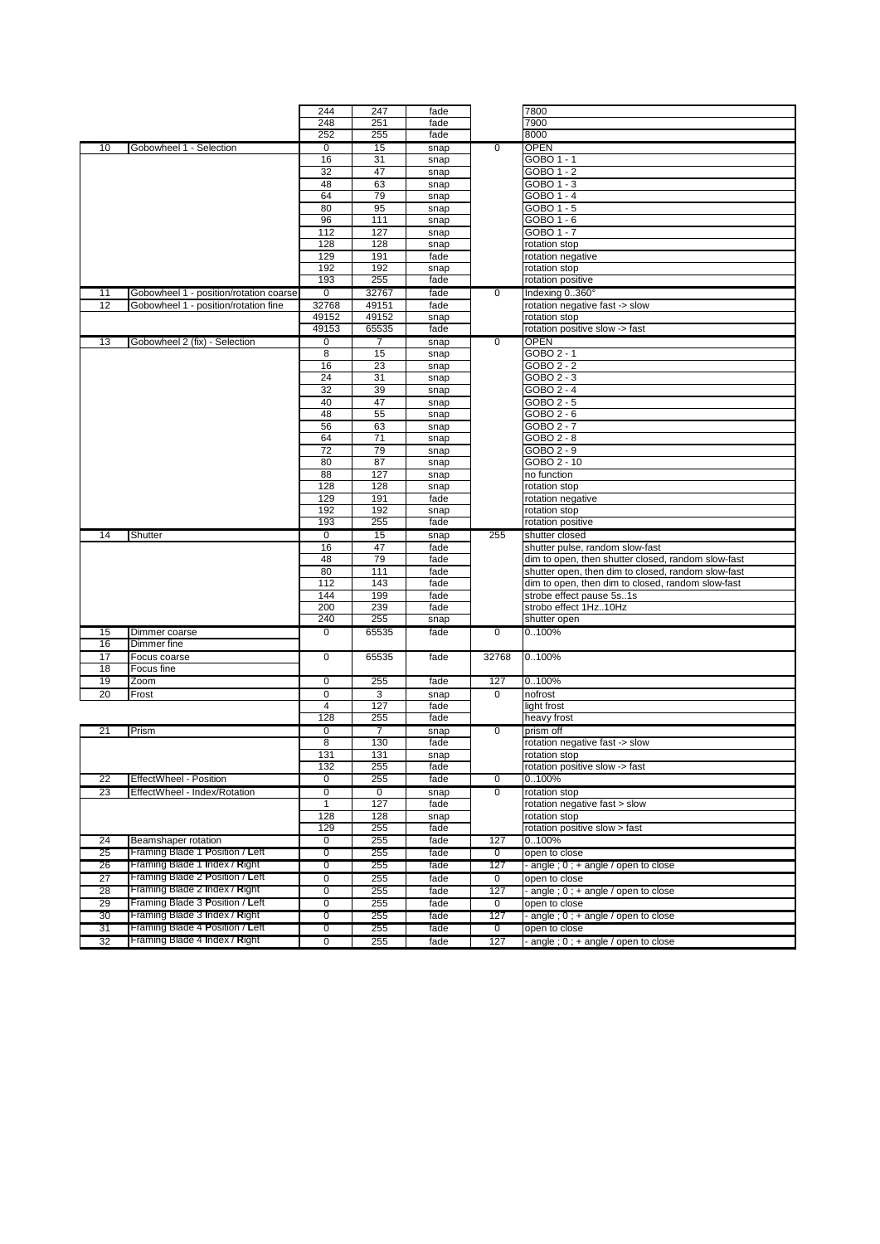|          |                                                                  | 244                              | 247                | fade         |                | 7800                                                    |
|----------|------------------------------------------------------------------|----------------------------------|--------------------|--------------|----------------|---------------------------------------------------------|
|          |                                                                  | 248                              | 251                | fade         |                | 7900                                                    |
|          |                                                                  | 252                              | 255                | fade         |                | 8000                                                    |
| 10       | Gobowheel 1 - Selection                                          | $\mathbf 0$                      | 15                 | snap         | $\mathbf 0$    | <b>OPEN</b>                                             |
|          |                                                                  | 16                               | 31                 | snap         |                | GOBO 1 - 1                                              |
|          |                                                                  | 32                               | 47                 | snap         |                | GOBO 1 - 2                                              |
|          |                                                                  | 48<br>64                         | 63                 | snap         |                | $GOBO1 - 3$<br>GOBO 1 - 4                               |
|          |                                                                  | 80                               | 79<br>95           | snap         |                | GOBO 1 - 5                                              |
|          |                                                                  | 96                               | 111                | snap<br>snap |                | GOBO 1 - 6                                              |
|          |                                                                  | 112                              | 127                | snap         |                | GOBO 1 - 7                                              |
|          |                                                                  | 128                              | 128                | snap         |                | rotation stop                                           |
|          |                                                                  | 129                              | 191                | fade         |                | rotation negative                                       |
|          |                                                                  | 192                              | 192                | snap         |                | rotation stop                                           |
|          |                                                                  | 193                              | 255                | fade         |                | rotation positive                                       |
| 11       | Gobowheel 1 - position/rotation coarse                           | $\overline{0}$                   | 32767              | fade         | $\overline{0}$ | Indexing 0360°                                          |
| 12       | Gobowheel 1 - position/rotation fine                             | 32768                            | 49151              | fade         |                | rotation negative fast -> slow                          |
|          |                                                                  | 49152                            | 49152              | snap         |                | rotation stop                                           |
|          |                                                                  | 49153                            | 65535              | fade         |                | rotation positive slow -> fast                          |
| 13       | Gobowheel 2 (fix) - Selection                                    | 0                                | 7                  | snap         | $\overline{0}$ | <b>OPEN</b>                                             |
|          |                                                                  | 8                                | 15                 | snap         |                | GOBO 2 - 1                                              |
|          |                                                                  | 16                               | 23                 | snap         |                | GOBO 2 - 2                                              |
|          |                                                                  | 24                               | 31                 | snap         |                | GOBO 2 - 3                                              |
|          |                                                                  | 32                               | 39                 | snap         |                | GOBO 2 - 4                                              |
|          |                                                                  | 40                               | 47                 | snap         |                | GOBO 2 - 5                                              |
|          |                                                                  | 48                               | 55                 | snap         |                | GOBO 2 - 6                                              |
|          |                                                                  | 56                               | 63                 | snap         |                | GOBO 2 - 7                                              |
|          |                                                                  | 64<br>72                         | 71<br>79           | snap         |                | GOBO 2 - 8<br>GOBO 2 - 9                                |
|          |                                                                  | 80                               | 87                 | snap<br>snap |                | GOBO 2 - 10                                             |
|          |                                                                  | 88                               | 127                | snap         |                | no function                                             |
|          |                                                                  | 128                              | 128                | snap         |                | rotation stop                                           |
|          |                                                                  | 129                              | 191                | fade         |                | rotation negative                                       |
|          |                                                                  | 192                              | 192                | snap         |                | rotation stop                                           |
|          |                                                                  | 193                              | 255                | fade         |                | rotation positive                                       |
| 14       | Shutter                                                          | $\mathbf 0$                      | 15                 | snap         | 255            | shutter closed                                          |
|          |                                                                  | 16                               | 47                 | fade         |                | shutter pulse, random slow-fast                         |
|          |                                                                  |                                  |                    |              |                |                                                         |
|          |                                                                  | 48                               | 79                 | fade         |                | dim to open, then shutter closed, random slow-fast      |
|          |                                                                  | 80                               | 111                | fade         |                | shutter open, then dim to closed, random slow-fast      |
|          |                                                                  | 112                              | 143                | fade         |                | dim to open, then dim to closed, random slow-fast       |
|          |                                                                  | 144                              | 199                | fade         |                | strobe effect pause 5s1s                                |
|          |                                                                  | 200                              | 239                | fade         |                | strobo effect 1Hz10Hz                                   |
|          |                                                                  | 240                              | 255                | snap         |                | shutter open                                            |
| 15       | Dimmer coarse                                                    | $\mathbf 0$                      | 65535              | fade         | 0              | 0100%                                                   |
| 16       | Dimmer fine                                                      |                                  |                    |              |                |                                                         |
| 17       | Focus coarse                                                     | $\overline{0}$                   | 65535              | fade         | 32768          | 0100%                                                   |
| 18       | Focus fine                                                       |                                  |                    |              |                |                                                         |
| 19       | Zoom                                                             | $\mathbf 0$                      | 255                | fade         | 127            | 0100%                                                   |
| 20       | Frost                                                            | $\mathbf 0$                      | 3                  | snap         | 0              | nofrost                                                 |
|          |                                                                  | 4                                | 127                | fade         |                | light frost                                             |
|          |                                                                  | 128                              | 255                | fade         |                | heavy frost                                             |
| 21       | Prism                                                            | $\mathbf 0$                      | $\overline{7}$     | snap         | $\mathbf 0$    | prism off                                               |
|          |                                                                  | 8                                | 130                | fade         |                | rotation negative fast -> slow                          |
|          |                                                                  | 131                              | 131                | snap         |                | rotation stop                                           |
| 22       |                                                                  | 132<br>0                         | 255                | fade         | 0              | rotation positive slow -> fast                          |
| 23       | EffectWheel - Position<br>EffectWheel - Index/Rotation           | $\mathbf 0$                      | 255<br>$\mathbf 0$ | fade<br>snap | 0              | 0100%<br>rotation stop                                  |
|          |                                                                  | 1                                | 127                | fade         |                | rotation negative fast > slow                           |
|          |                                                                  | 128                              | 128                | snap         |                | rotation stop                                           |
|          |                                                                  | 129                              | 255                | fade         |                | rotation positive slow > fast                           |
| 24       | Beamshaper rotation                                              | 0                                | 255                | fade         | 127            | 0100%                                                   |
| 25       | Framing Blade 1 Position / Left                                  | $\overline{0}$                   | 255                | fade         | $\overline{0}$ | open to close                                           |
| 26       | Framing Blade 1 Index / Right                                    | $\overline{0}$                   | 255                | fade         | 127            | - angle ; 0 ; + angle / open to close                   |
| 27       | Framing Blade 2 Position / Left                                  | $\overline{0}$                   | 255                | fade         | 0              | open to close                                           |
| 28       | Framing Blade 2 Index / Right                                    | $\overline{0}$                   | 255                | fade         | 127            | angle ; 0 ; + angle / open to close                     |
| 29       | Framing Blade 3 Position / Left                                  | 0                                | 255                | fade         | $\overline{0}$ | open to close                                           |
| 30       | Framing Blade 3 Index / Right                                    | $\overline{0}$                   | 255                | fade         | 127            | - angle ; 0 ; + angle / open to close                   |
| 31<br>32 | Framing Blade 4 Position / Left<br>Framing Blade 4 Index / Right | $\overline{0}$<br>$\overline{0}$ | 255<br>255         | fade<br>fade | 0<br>127       | open to close<br>- angle $; 0; +$ angle / open to close |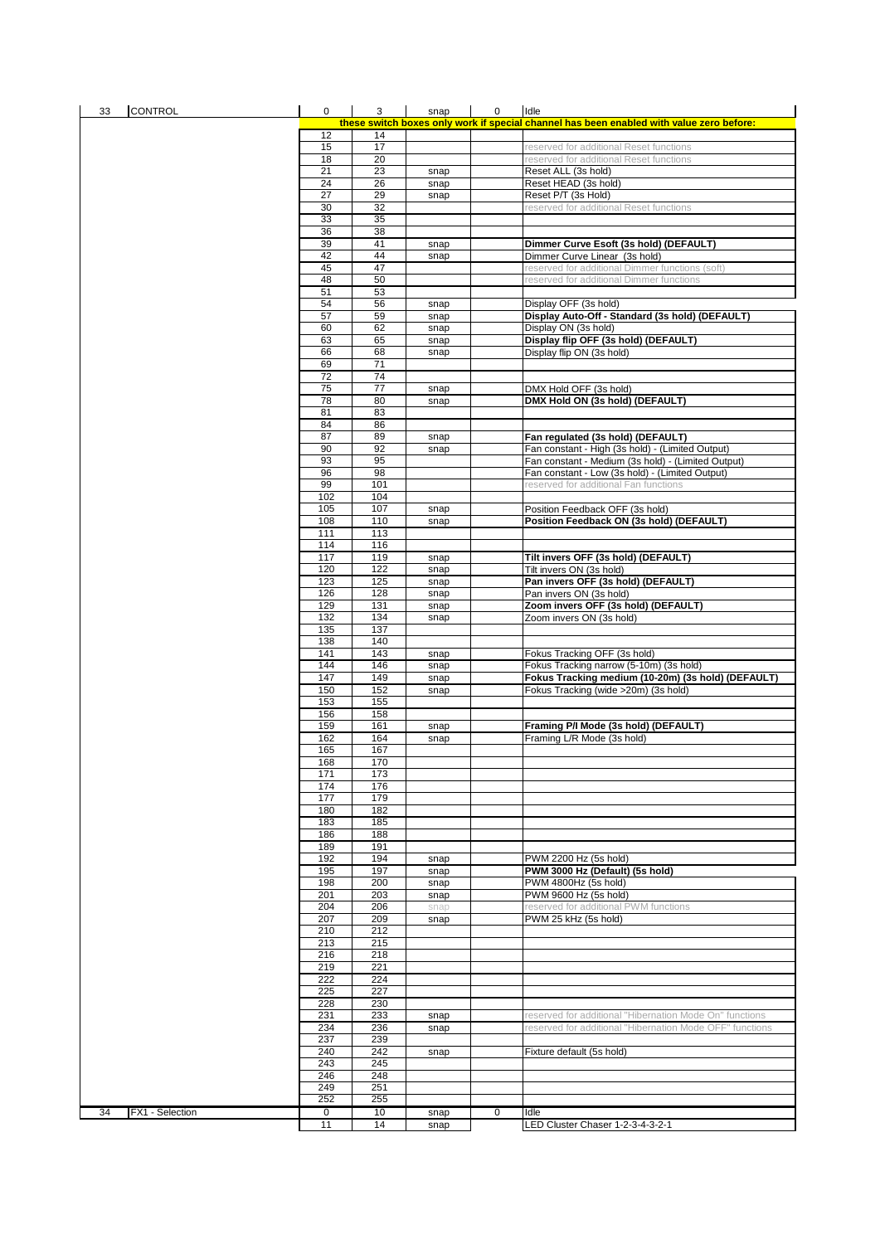| <b>CONTROL</b><br>33  | $\mathbf 0$     | 3          | snap | 0 | Idle                                                                                     |
|-----------------------|-----------------|------------|------|---|------------------------------------------------------------------------------------------|
|                       |                 |            |      |   | these switch boxes only work if special channel has been enabled with value zero before: |
|                       | 12              | 14         |      |   |                                                                                          |
|                       | 15              | 17         |      |   | reserved for additional Reset functions                                                  |
|                       | 18              | 20         |      |   | reserved for additional Reset functions                                                  |
|                       | 21<br>24        | 23         | snap |   | Reset ALL (3s hold)                                                                      |
|                       | $\overline{27}$ | 26<br>29   | snap |   | Reset HEAD (3s hold)                                                                     |
|                       | 30              |            | snap |   | Reset P/T (3s Hold)                                                                      |
|                       | 33              | 32<br>35   |      |   | reserved for additional Reset functions                                                  |
|                       | 36              | 38         |      |   |                                                                                          |
|                       | 39              | 41         | snap |   | Dimmer Curve Esoft (3s hold) (DEFAULT)                                                   |
|                       | 42              | 44         | snap |   | Dimmer Curve Linear (3s hold)                                                            |
|                       | 45              | 47         |      |   | reserved for additional Dimmer functions (soft)                                          |
|                       | 48              | 50         |      |   | reserved for additional Dimmer functions                                                 |
|                       | 51              | 53         |      |   |                                                                                          |
|                       | 54              | 56         | snap |   | Display OFF (3s hold)                                                                    |
|                       | 57              | 59         | snap |   | Display Auto-Off - Standard (3s hold) (DEFAULT)                                          |
|                       | 60              | 62         | snap |   | Display ON (3s hold)                                                                     |
|                       | 63              | 65         | snap |   | Display flip OFF (3s hold) (DEFAULT)                                                     |
|                       | 66              | 68         | snap |   | Display flip ON (3s hold)                                                                |
|                       | 69              | 71         |      |   |                                                                                          |
|                       | 72              | 74         |      |   |                                                                                          |
|                       | 75              | 77         | snap |   | DMX Hold OFF (3s hold)                                                                   |
|                       | 78              | 80         | snap |   | DMX Hold ON (3s hold) (DEFAULT)                                                          |
|                       | 81              | 83         |      |   |                                                                                          |
|                       | 84              | 86         |      |   |                                                                                          |
|                       | 87              | 89         | snap |   | Fan regulated (3s hold) (DEFAULT)                                                        |
|                       | 90              | 92         | snap |   | Fan constant - High (3s hold) - (Limited Output)                                         |
|                       | 93              | 95         |      |   | Fan constant - Medium (3s hold) - (Limited Output)                                       |
|                       | 96<br>99        | 98<br>101  |      |   | Fan constant - Low (3s hold) - (Limited Output)<br>reserved for additional Fan functions |
|                       | 102             | 104        |      |   |                                                                                          |
|                       | 105             | 107        | snap |   | Position Feedback OFF (3s hold)                                                          |
|                       | 108             | 110        | snap |   | Position Feedback ON (3s hold) (DEFAULT)                                                 |
|                       | 111             | 113        |      |   |                                                                                          |
|                       | 114             | 116        |      |   |                                                                                          |
|                       | 117             | 119        | snap |   | Tilt invers OFF (3s hold) (DEFAULT)                                                      |
|                       | 120             | 122        | snap |   | Tilt invers ON (3s hold)                                                                 |
|                       | 123             | 125        | snap |   | Pan invers OFF (3s hold) (DEFAULT)                                                       |
|                       | 126             | 128        | snap |   | Pan invers ON (3s hold)                                                                  |
|                       | 129             | 131        | snap |   | Zoom invers OFF (3s hold) (DEFAULT)                                                      |
|                       | 132             | 134        | snap |   | Zoom invers ON (3s hold)                                                                 |
|                       | 135             | 137        |      |   |                                                                                          |
|                       | 138             | 140        |      |   |                                                                                          |
|                       | 141             | 143        | snap |   | Fokus Tracking OFF (3s hold)                                                             |
|                       | 144             | 146        | snap |   | Fokus Tracking narrow (5-10m) (3s hold)                                                  |
|                       | 147             | 149        | snap |   | Fokus Tracking medium (10-20m) (3s hold) (DEFAULT)                                       |
|                       | 150             | 152        | snap |   | Fokus Tracking (wide >20m) (3s hold)                                                     |
|                       | 153             | 155        |      |   |                                                                                          |
|                       | 156             | 158        |      |   |                                                                                          |
|                       | 159             | 161        | snap |   | Framing P/I Mode (3s hold) (DEFAULT)                                                     |
|                       | 162<br>165      | 164<br>167 | snap |   | Framing L/R Mode (3s hold)                                                               |
|                       | 168             | 170        |      |   |                                                                                          |
|                       | 171             | 173        |      |   |                                                                                          |
|                       | 174             | 176        |      |   |                                                                                          |
|                       | 177             | 179        |      |   |                                                                                          |
|                       | 180             | 182        |      |   |                                                                                          |
|                       | 183             | 185        |      |   |                                                                                          |
|                       | 186             | 188        |      |   |                                                                                          |
|                       | 189             | 191        |      |   |                                                                                          |
|                       | 192             | 194        | snap |   | PWM 2200 Hz (5s hold)                                                                    |
|                       | 195             | 197        | snap |   | PWM 3000 Hz (Default) (5s hold)                                                          |
|                       | 198             | 200        | snap |   | PWM 4800Hz (5s hold)                                                                     |
|                       | 201             | 203        | snap |   | PWM 9600 Hz (5s hold)                                                                    |
|                       | 204             | 206        | snap |   | reserved for additional PWM functions                                                    |
|                       | 207             | 209        | snap |   | PWM 25 kHz (5s hold)                                                                     |
|                       | 210             | 212        |      |   |                                                                                          |
|                       | 213             | 215        |      |   |                                                                                          |
|                       | 216             | 218        |      |   |                                                                                          |
|                       | 219             | 221        |      |   |                                                                                          |
|                       | 222<br>225      | 224<br>227 |      |   |                                                                                          |
|                       | 228             | 230        |      |   |                                                                                          |
|                       | 231             | 233        | snap |   | reserved for additional "Hibernation Mode On" functions                                  |
|                       | 234             | 236        | snap |   | reserved for additional "Hibernation Mode OFF" functions                                 |
|                       | 237             | 239        |      |   |                                                                                          |
|                       | 240             | 242        | snap |   | Fixture default (5s hold)                                                                |
|                       | 243             | 245        |      |   |                                                                                          |
|                       | 246             | 248        |      |   |                                                                                          |
|                       | 249             | 251        |      |   |                                                                                          |
|                       | 252             | 255        |      |   |                                                                                          |
| 34<br>FX1 - Selection | 0               | 10         | snap | 0 | Idle                                                                                     |
|                       | 11              | 14         | snap |   | LED Cluster Chaser 1-2-3-4-3-2-1                                                         |